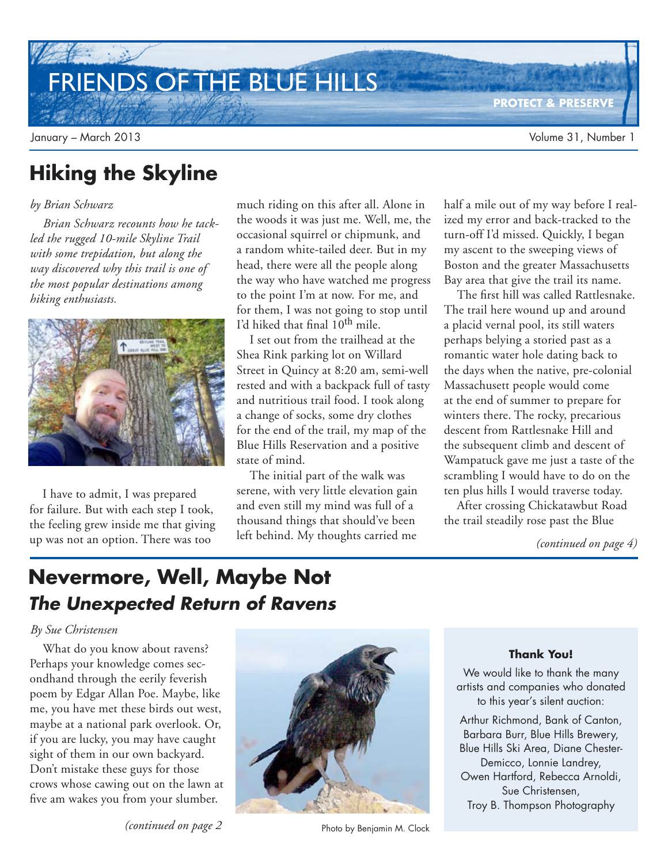# FRIENDS OF THE BLUE HILLS

**PROTECT & PRESERVE**

## **Hiking the Skyline**

#### *by Brian Schwarz*

*Brian Schwarz recounts how he tackled the rugged 10-mile Skyline Trail with some trepidation, but along the way discovered why this trail is one of the most popular destinations among hiking enthusiasts.* 



I have to admit, I was prepared for failure. But with each step I took, the feeling grew inside me that giving up was not an option. There was too

much riding on this after all. Alone in the woods it was just me. Well, me, the occasional squirrel or chipmunk, and a random white-tailed deer. But in my head, there were all the people along the way who have watched me progress to the point I'm at now. For me, and for them, I was not going to stop until I'd hiked that final  $10^{th}$  mile.

I set out from the trailhead at the Shea Rink parking lot on Willard Street in Quincy at 8:20 am, semi-well rested and with a backpack full of tasty and nutritious trail food. I took along a change of socks, some dry clothes for the end of the trail, my map of the Blue Hills Reservation and a positive state of mind.

The initial part of the walk was serene, with very little elevation gain and even still my mind was full of a thousand things that should've been left behind. My thoughts carried me

half a mile out of my way before I realized my error and back-tracked to the turn-off I'd missed. Quickly, I began my ascent to the sweeping views of Boston and the greater Massachusetts Bay area that give the trail its name.

The first hill was called Rattlesnake. The trail here wound up and around a placid vernal pool, its still waters perhaps belying a storied past as a romantic water hole dating back to the days when the native, pre-colonial Massachusett people would come at the end of summer to prepare for winters there. The rocky, precarious descent from Rattlesnake Hill and the subsequent climb and descent of Wampatuck gave me just a taste of the scrambling I would have to do on the ten plus hills I would traverse today.

After crossing Chickatawbut Road the trail steadily rose past the Blue

*(continued on page 4)*

## **Nevermore, Well, Maybe Not The Unexpected Return of Ravens**

#### *By Sue Christensen*

What do you know about ravens? Perhaps your knowledge comes secondhand through the eerily feverish poem by Edgar Allan Poe. Maybe, like me, you have met these birds out west, maybe at a national park overlook. Or, if you are lucky, you may have caught sight of them in our own backyard. Don't mistake these guys for those crows whose cawing out on the lawn at five am wakes you from your slumber.



*(continued on page 2* Photo by Benjamin M. Clock

#### **Thank You!**

We would like to thank the many artists and companies who donated to this year's silent auction:

Arthur Richmond, Bank of Canton, Barbara Burr, Blue Hills Brewery, Blue Hills Ski Area, Diane Chester-Demicco, Lonnie Landrey, Owen Hartford, Rebecca Arnoldi, Sue Christensen, Troy B. Thompson Photography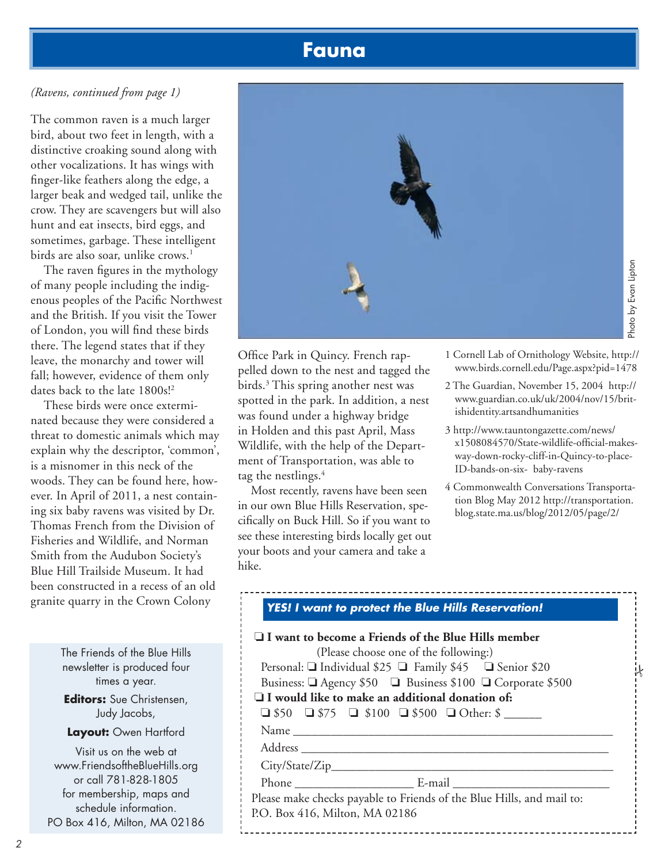### **Fauna**

#### *(Ravens, continued from page 1)*

The common raven is a much larger bird, about two feet in length, with a distinctive croaking sound along with other vocalizations. It has wings with finger-like feathers along the edge, a larger beak and wedged tail, unlike the crow. They are scavengers but will also hunt and eat insects, bird eggs, and sometimes, garbage. These intelligent birds are also soar, unlike crows.<sup>1</sup>

The raven figures in the mythology of many people including the indigenous peoples of the Pacific Northwest and the British. If you visit the Tower of London, you will find these birds there. The legend states that if they leave, the monarchy and tower will fall; however, evidence of them only dates back to the late 1800s!<sup>2</sup>

These birds were once exterminated because they were considered a threat to domestic animals which may explain why the descriptor, 'common', is a misnomer in this neck of the woods. They can be found here, however. In April of 2011, a nest containing six baby ravens was visited by Dr. Thomas French from the Division of Fisheries and Wildlife, and Norman Smith from the Audubon Society's Blue Hill Trailside Museum. It had been constructed in a recess of an old granite quarry in the Crown Colony

> The Friends of the Blue Hills newsletter is produced four times a year. **Editors:** Sue Christensen, Judy Jacobs, **Layout:** Owen Hartford Visit us on the web at www.FriendsoftheBlueHills.org or call 781-828-1805 for membership, maps and

schedule information. PO Box 416, Milton, MA 02186



Photo by Evan Lipton Photo by Evan Liptor

Office Park in Quincy. French rappelled down to the nest and tagged the birds.<sup>3</sup> This spring another nest was spotted in the park. In addition, a nest was found under a highway bridge in Holden and this past April, Mass Wildlife, with the help of the Department of Transportation, was able to tag the nestlings. $4$ 

Most recently, ravens have been seen in our own Blue Hills Reservation, specifically on Buck Hill. So if you want to see these interesting birds locally get out your boots and your camera and take a hike.

- 1 Cornell Lab of Ornithology Website, http:// www.birds.cornell.edu/Page.aspx?pid=1478
- 2 The Guardian, November 15, 2004 http:// www.guardian.co.uk/uk/2004/nov/15/britishidentity.artsandhumanities
- 3 http://www.tauntongazette.com/news/ x1508084570/State-wildlife-official-makesway-down-rocky-cliff-in-Quincy-to-place-ID-bands-on-six- baby-ravens
- 4 Commonwealth Conversations Transportation Blog May 2012 http://transportation. blog.state.ma.us/blog/2012/05/page/2/

| <b>YES! I want to protect the Blue Hills Reservation!</b>              |  |
|------------------------------------------------------------------------|--|
| $\square$ I want to become a Friends of the Blue Hills member          |  |
| (Please choose one of the following:)                                  |  |
| Personal: $\Box$ Individual \$25 $\Box$ Family \$45 $\Box$ Senior \$20 |  |
| Business: □ Agency \$50 □ Business \$100 □ Corporate \$500             |  |
| $\Box$ I would like to make an additional donation of:                 |  |
| $\Box$ \$50 $\Box$ \$75 $\Box$ \$100 $\Box$ \$500 $\Box$ Other: \$     |  |
|                                                                        |  |
|                                                                        |  |
|                                                                        |  |
|                                                                        |  |
| Please make checks payable to Friends of the Blue Hills, and mail to:  |  |
| P.O. Box 416, Milton, MA 02186                                         |  |
|                                                                        |  |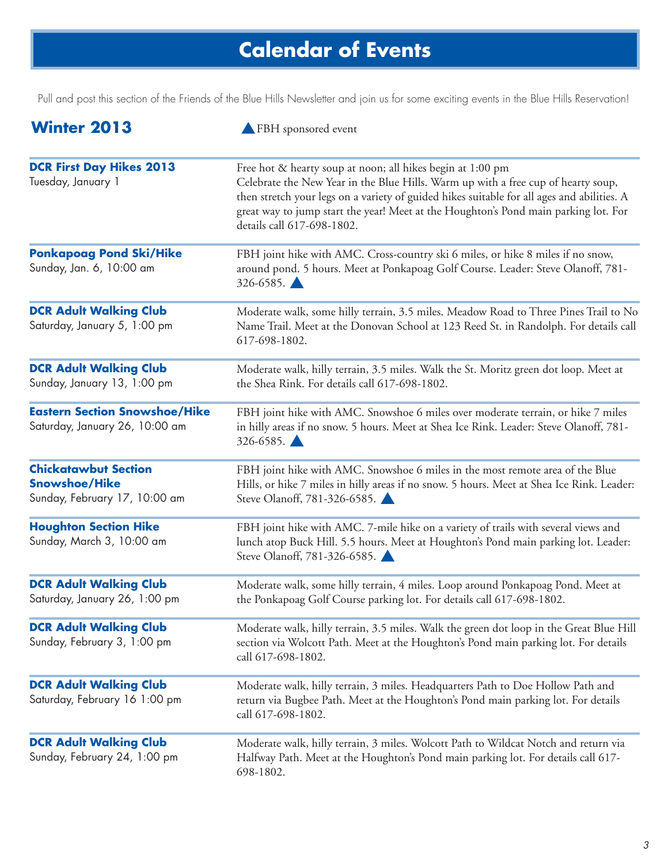# **Calendar of Events**

Pull and post this section of the Friends of the Blue Hills Newsletter and join us for some exciting events in the Blue Hills Reservation!

| <b>Winter 2013</b>                                                                   | FBH sponsored event                                                                                                                                                                                                                                                                                                                                                |
|--------------------------------------------------------------------------------------|--------------------------------------------------------------------------------------------------------------------------------------------------------------------------------------------------------------------------------------------------------------------------------------------------------------------------------------------------------------------|
| <b>DCR First Day Hikes 2013</b><br>Tuesday, January 1                                | Free hot & hearty soup at noon; all hikes begin at 1:00 pm<br>Celebrate the New Year in the Blue Hills. Warm up with a free cup of hearty soup,<br>then stretch your legs on a variety of guided hikes suitable for all ages and abilities. A<br>great way to jump start the year! Meet at the Houghton's Pond main parking lot. For<br>details call 617-698-1802. |
| <b>Ponkapoag Pond Ski/Hike</b><br>Sunday, Jan. 6, 10:00 am                           | FBH joint hike with AMC. Cross-country ski 6 miles, or hike 8 miles if no snow,<br>around pond. 5 hours. Meet at Ponkapoag Golf Course. Leader: Steve Olanoff, 781-<br>$326 - 6585$ .                                                                                                                                                                              |
| <b>DCR Adult Walking Club</b><br>Saturday, January 5, 1:00 pm                        | Moderate walk, some hilly terrain, 3.5 miles. Meadow Road to Three Pines Trail to No<br>Name Trail. Meet at the Donovan School at 123 Reed St. in Randolph. For details call<br>617-698-1802.                                                                                                                                                                      |
| <b>DCR Adult Walking Club</b><br>Sunday, January 13, 1:00 pm                         | Moderate walk, hilly terrain, 3.5 miles. Walk the St. Moritz green dot loop. Meet at<br>the Shea Rink. For details call 617-698-1802.                                                                                                                                                                                                                              |
| <b>Eastern Section Snowshoe/Hike</b><br>Saturday, January 26, 10:00 am               | FBH joint hike with AMC. Snowshoe 6 miles over moderate terrain, or hike 7 miles<br>in hilly areas if no snow. 5 hours. Meet at Shea Ice Rink. Leader: Steve Olanoff, 781-<br>326-6585.                                                                                                                                                                            |
| <b>Chickatawbut Section</b><br><b>Snowshoe/Hike</b><br>Sunday, February 17, 10:00 am | FBH joint hike with AMC. Snowshoe 6 miles in the most remote area of the Blue<br>Hills, or hike 7 miles in hilly areas if no snow. 5 hours. Meet at Shea Ice Rink. Leader:<br>Steve Olanoff, 781-326-6585.                                                                                                                                                         |
| <b>Houghton Section Hike</b><br>Sunday, March 3, 10:00 am                            | FBH joint hike with AMC. 7-mile hike on a variety of trails with several views and<br>lunch atop Buck Hill. 5.5 hours. Meet at Houghton's Pond main parking lot. Leader:<br>Steve Olanoff, 781-326-6585.                                                                                                                                                           |
| <b>DCR Adult Walking Club</b><br>Saturday, January 26, 1:00 pm                       | Moderate walk, some hilly terrain, 4 miles. Loop around Ponkapoag Pond. Meet at<br>the Ponkapoag Golf Course parking lot. For details call 617-698-1802.                                                                                                                                                                                                           |
| <b>DCR Adult Walking Club</b><br>Sunday, February 3, 1:00 pm                         | Moderate walk, hilly terrain, 3.5 miles. Walk the green dot loop in the Great Blue Hill<br>section via Wolcott Path. Meet at the Houghton's Pond main parking lot. For details<br>call 617-698-1802.                                                                                                                                                               |
| <b>DCR Adult Walking Club</b><br>Saturday, February 16 1:00 pm                       | Moderate walk, hilly terrain, 3 miles. Headquarters Path to Doe Hollow Path and<br>return via Bugbee Path. Meet at the Houghton's Pond main parking lot. For details<br>call 617-698-1802.                                                                                                                                                                         |
| <b>DCR Adult Walking Club</b><br>Sunday, February 24, 1:00 pm                        | Moderate walk, hilly terrain, 3 miles. Wolcott Path to Wildcat Notch and return via<br>Halfway Path. Meet at the Houghton's Pond main parking lot. For details call 617-<br>698-1802.                                                                                                                                                                              |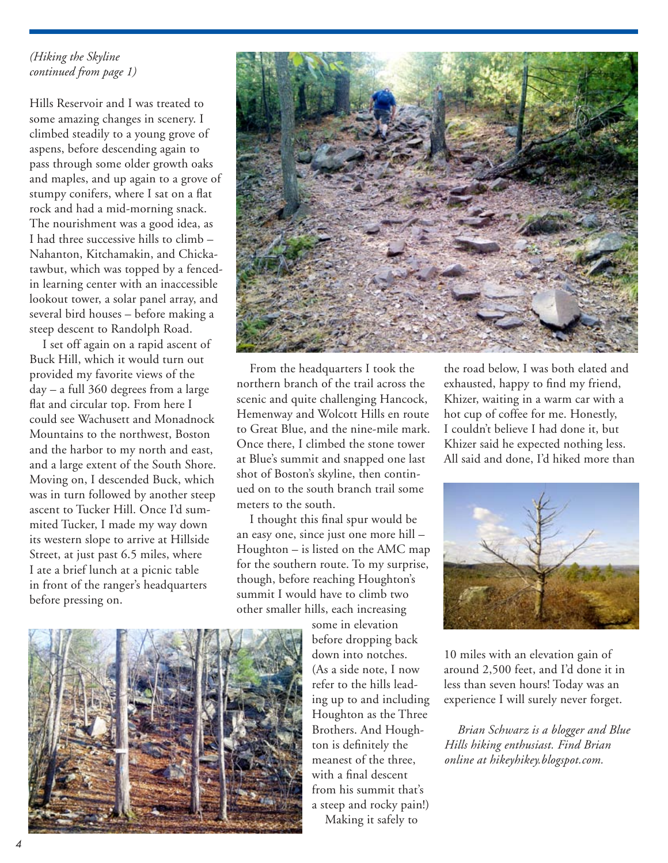#### *(Hiking the Skyline continued from page 1)*

Hills Reservoir and I was treated to some amazing changes in scenery. I climbed steadily to a young grove of aspens, before descending again to pass through some older growth oaks and maples, and up again to a grove of stumpy conifers, where I sat on a flat rock and had a mid-morning snack. The nourishment was a good idea, as I had three successive hills to climb – Nahanton, Kitchamakin, and Chickatawbut, which was topped by a fencedin learning center with an inaccessible lookout tower, a solar panel array, and several bird houses – before making a steep descent to Randolph Road.

I set off again on a rapid ascent of Buck Hill, which it would turn out provided my favorite views of the day – a full 360 degrees from a large flat and circular top. From here I could see Wachusett and Monadnock Mountains to the northwest, Boston and the harbor to my north and east, and a large extent of the South Shore. Moving on, I descended Buck, which was in turn followed by another steep ascent to Tucker Hill. Once I'd summited Tucker, I made my way down its western slope to arrive at Hillside Street, at just past 6.5 miles, where I ate a brief lunch at a picnic table in front of the ranger's headquarters before pressing on.



From the headquarters I took the northern branch of the trail across the scenic and quite challenging Hancock, Hemenway and Wolcott Hills en route to Great Blue, and the nine-mile mark. Once there, I climbed the stone tower at Blue's summit and snapped one last shot of Boston's skyline, then continued on to the south branch trail some meters to the south.

I thought this final spur would be an easy one, since just one more hill – Houghton – is listed on the AMC map for the southern route. To my surprise, though, before reaching Houghton's summit I would have to climb two other smaller hills, each increasing

some in elevation before dropping back down into notches. (As a side note, I now refer to the hills leading up to and including Houghton as the Three Brothers. And Houghton is definitely the meanest of the three, with a final descent from his summit that's a steep and rocky pain!) Making it safely to

the road below, I was both elated and exhausted, happy to find my friend, Khizer, waiting in a warm car with a hot cup of coffee for me. Honestly, I couldn't believe I had done it, but Khizer said he expected nothing less. All said and done, I'd hiked more than



10 miles with an elevation gain of around 2,500 feet, and I'd done it in less than seven hours! Today was an experience I will surely never forget.

*Brian Schwarz is a blogger and Blue Hills hiking enthusiast. Find Brian online at hikeyhikey.blogspot.com.*

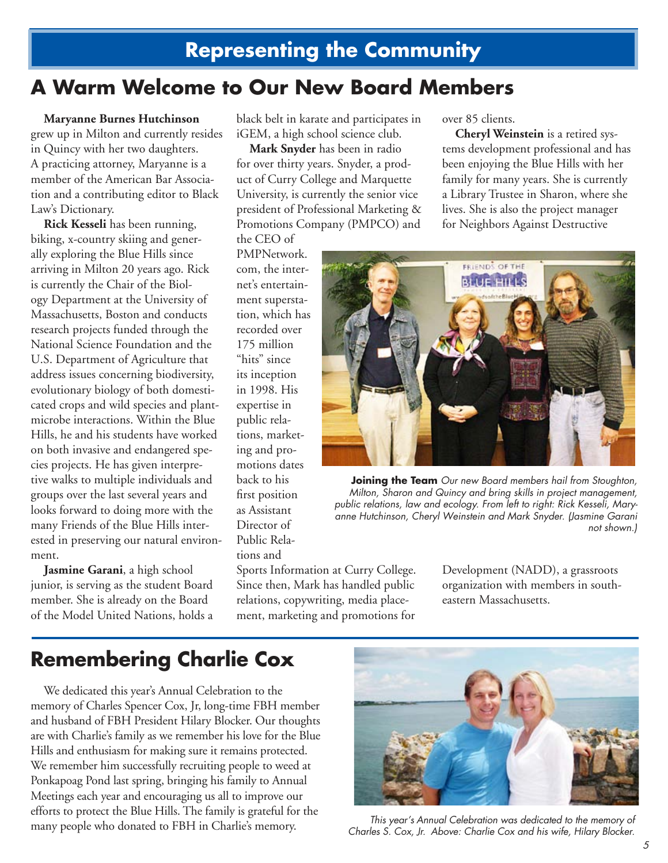## **Representing the Community**

## **A Warm Welcome to Our New Board Members**

**Maryanne Burnes Hutchinson** grew up in Milton and currently resides in Quincy with her two daughters. A practicing attorney, Maryanne is a member of the American Bar Association and a contributing editor to Black Law's Dictionary.

**Rick Kesseli** has been running, biking, x-country skiing and generally exploring the Blue Hills since arriving in Milton 20 years ago. Rick is currently the Chair of the Biology Department at the University of Massachusetts, Boston and conducts research projects funded through the National Science Foundation and the U.S. Department of Agriculture that address issues concerning biodiversity, evolutionary biology of both domesticated crops and wild species and plantmicrobe interactions. Within the Blue Hills, he and his students have worked on both invasive and endangered species projects. He has given interpretive walks to multiple individuals and groups over the last several years and looks forward to doing more with the many Friends of the Blue Hills interested in preserving our natural environment.

**Jasmine Garani**, a high school junior, is serving as the student Board member. She is already on the Board of the Model United Nations, holds a black belt in karate and participates in iGEM, a high school science club.

**Mark Snyder** has been in radio for over thirty years. Snyder, a product of Curry College and Marquette University, is currently the senior vice president of Professional Marketing & Promotions Company (PMPCO) and

the CEO of PMPNetwork. com, the internet's entertainment superstation, which has recorded over 175 million "hits" since its inception in 1998. His expertise in public relations, marketing and promotions dates back to his first position as Assistant Director of Public Relations and

Sports Information at Curry College. Since then, Mark has handled public relations, copywriting, media placement, marketing and promotions for

over 85 clients.

**Cheryl Weinstein** is a retired systems development professional and has been enjoying the Blue Hills with her family for many years. She is currently a Library Trustee in Sharon, where she lives. She is also the project manager for Neighbors Against Destructive



**Joining the Team** *Our new Board members hail from Stoughton, Milton, Sharon and Quincy and bring skills in project management, public relations, law and ecology. From left to right: Rick Kesseli, Maryanne Hutchinson, Cheryl Weinstein and Mark Snyder. (Jasmine Garani not shown.)*

Development (NADD), a grassroots organization with members in southeastern Massachusetts.

## **Remembering Charlie Cox**

We dedicated this year's Annual Celebration to the memory of Charles Spencer Cox, Jr, long-time FBH member and husband of FBH President Hilary Blocker. Our thoughts are with Charlie's family as we remember his love for the Blue Hills and enthusiasm for making sure it remains protected. We remember him successfully recruiting people to weed at Ponkapoag Pond last spring, bringing his family to Annual Meetings each year and encouraging us all to improve our efforts to protect the Blue Hills. The family is grateful for the many people who donated to FBH in Charlie's memory.



*This year's Annual Celebration was dedicated to the memory of Charles S. Cox, Jr. Above: Charlie Cox and his wife, Hilary Blocker.*